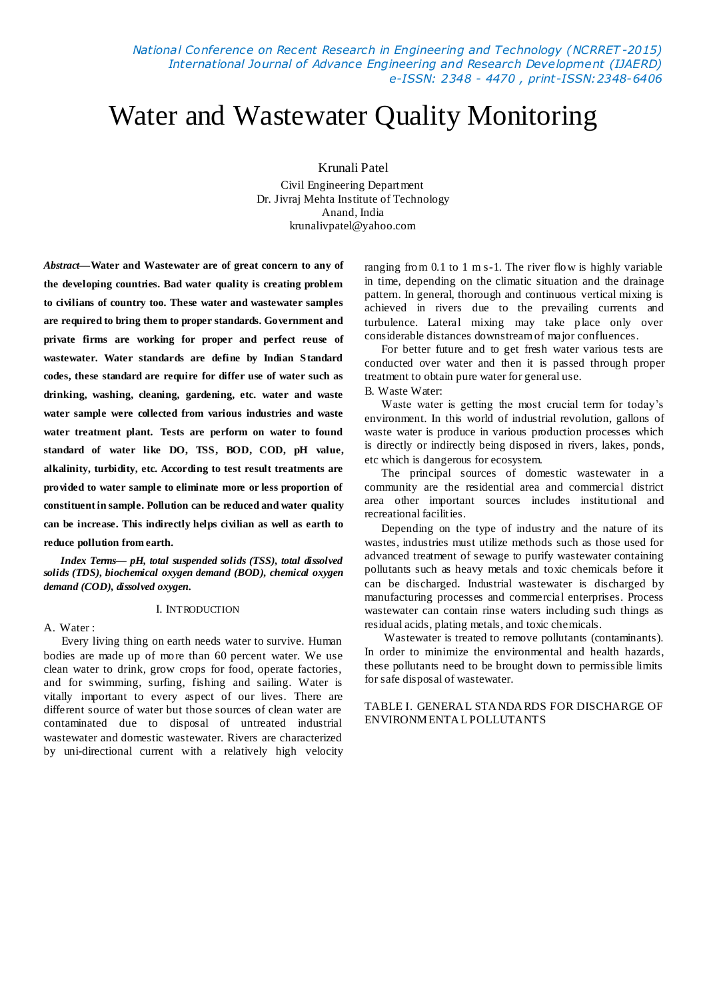*National Conference on Recent Research in Engineering and Technology (NCRRET -2015) International Journal of Advance Engineering and Research Development (IJAERD) e-ISSN: 2348 - 4470 , print-ISSN:2348-6406*

# Water and Wastewater Quality Monitoring

Krunali Patel

Civil Engineering Department Dr. Jivraj Mehta Institute of Technology Anand, India krunalivpatel@yahoo.com

*Abstract***—Water and Wastewater are of great concern to any of the developing countries. Bad water quality is creating problem to civilians of country too. These water and wastewater samples are required to bring them to proper standards. Government and private firms are working for proper and perfect reuse of wastewater. Water standards are define by Indian Standard codes, these standard are require for differ use of water such as drinking, washing, cleaning, gardening, etc. water and waste water sample were collected from various industries and waste water treatment plant. Tests are perform on water to found standard of water like DO, TSS, BOD, COD, pH value, alkalinity, turbidity, etc. According to test result treatments are provided to water sample to eliminate more or less proportion of constituent in sample. Pollution can be reduced and water quality can be increase. This indirectly helps civilian as well as earth to reduce pollution from earth.**

*Index Terms— pH, total suspended solids (TSS), total dissolved solids (TDS), biochemical oxygen demand (BOD), chemical oxygen demand (COD), dissolved oxygen.*

#### I. INTRODUCTION

A. Water :

 Every living thing on earth needs water to survive. Human bodies are made up of more than 60 percent water. We use clean water to drink, grow crops for food, operate factories, and for swimming, surfing, fishing and sailing. Water is vitally important to every aspect of our lives. There are different source of water but those sources of clean water are contaminated due to disposal of untreated industrial wastewater and domestic wastewater. Rivers are characterized by uni-directional current with a relatively high velocity ranging from 0.1 to 1 m s-1. The river flow is highly variable in time, depending on the climatic situation and the drainage pattern. In general, thorough and continuous vertical mixing is achieved in rivers due to the prevailing currents and turbulence. Lateral mixing may take place only over considerable distances downstream of major confluences.

For better future and to get fresh water various tests are conducted over water and then it is passed through proper treatment to obtain pure water for general use.

# B. Waste Water:

Waste water is getting the most crucial term for today's environment. In this world of industrial revolution, gallons of waste water is produce in various production processes which is directly or indirectly being disposed in rivers, lakes, ponds, etc which is dangerous for ecosystem.

The principal sources of domestic wastewater in a community are the residential area and commercial district area other important sources includes institutional and recreational facilities.

Depending on the type of industry and the nature of its wastes, industries must utilize methods such as those used for advanced treatment of sewage to purify wastewater containing pollutants such as heavy metals and toxic chemicals before it can be discharged. Industrial wastewater is discharged by manufacturing processes and commercial enterprises. Process wastewater can contain rinse waters including such things as residual acids, plating metals, and toxic chemicals.

 Wastewater is treated to remove pollutants (contaminants). In order to minimize the environmental and health hazards, these pollutants need to be brought down to permissible limits for safe disposal of wastewater.

# TABLE I. GENERAL STANDA RDS FOR DISCHARGE OF ENVIRONMENTAL POLLUTANTS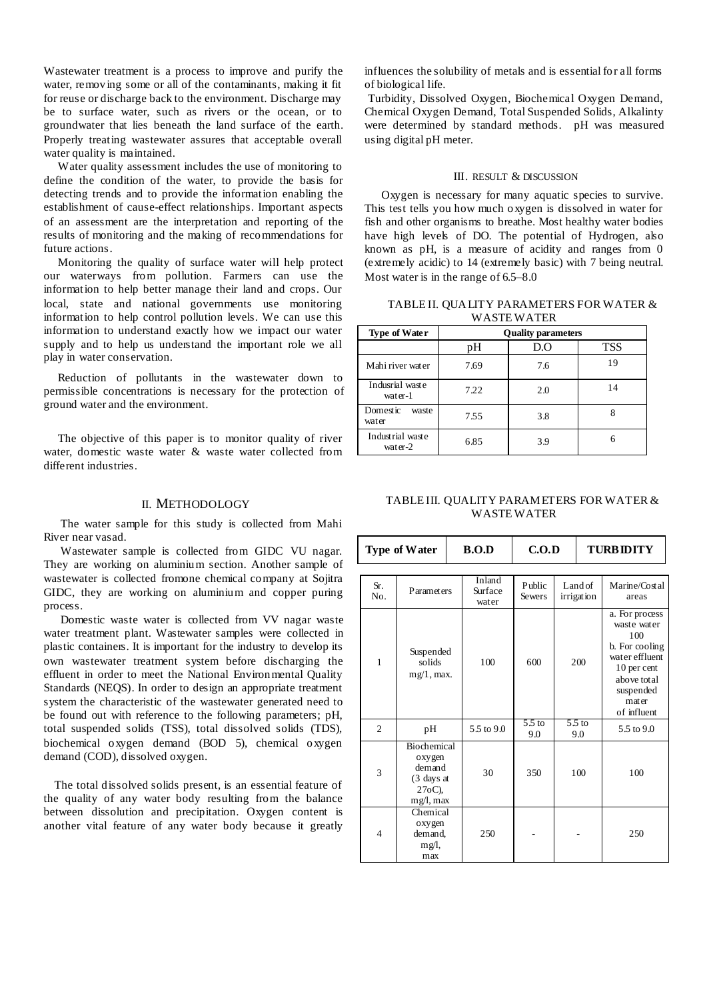Wastewater treatment is a process to improve and purify the water, removing some or all of the contaminants, making it fit for reuse or discharge back to the environment. Discharge may be to surface water, such as rivers or the ocean, or to groundwater that lies beneath the land surface of the earth. Properly treating wastewater assures that acceptable overall water quality is maintained.

 Water quality assessment includes the use of monitoring to define the condition of the water, to provide the basis for detecting trends and to provide the information enabling the establishment of cause-effect relationships. Important aspects of an assessment are the interpretation and reporting of the results of monitoring and the making of recommendations for future actions.

 Monitoring the quality of surface water will help protect our waterways from pollution. Farmers can use the information to help better manage their land and crops. Our local, state and national governments use monitoring information to help control pollution levels. We can use this information to understand exactly how we impact our water supply and to help us understand the important role we all play in water conservation.

 Reduction of pollutants in the wastewater down to permissible concentrations is necessary for the protection of ground water and the environment.

 The objective of this paper is to monitor quality of river water, domestic waste water & waste water collected from different industries.

#### II. METHODOLOGY

The water sample for this study is collected from Mahi River near vasad.

Wastewater sample is collected from GIDC VU nagar. They are working on aluminium section. Another sample of wastewater is collected fromone chemical company at Sojitra GIDC, they are working on aluminium and copper puring process.

Domestic waste water is collected from VV nagar waste water treatment plant. Wastewater samples were collected in plastic containers. It is important for the industry to develop its own wastewater treatment system before discharging the effluent in order to meet the National Environmental Quality Standards (NEQS). In order to design an appropriate treatment system the characteristic of the wastewater generated need to be found out with reference to the following parameters; pH, total suspended solids (TSS), total dissolved solids (TDS), biochemical oxygen demand (BOD 5), chemical oxygen demand (COD), dissolved oxygen.

 The total dissolved solids present, is an essential feature of the quality of any water body resulting from the balance between dissolution and precipitation. Oxygen content is another vital feature of any water body because it greatly

influences the solubility of metals and is essential for all forms of biological life.

Turbidity, Dissolved Oxygen, Biochemical Oxygen Demand, Chemical Oxygen Demand, Total Suspended Solids, Alkalinty were determined by standard methods. pH was measured using digital pH meter.

# III. RESULT & DISCUSSION

Oxygen is necessary for many aquatic species to survive. This test tells you how much oxygen is dissolved in water for fish and other organisms to breathe. Most healthy water bodies have high levels of DO. The potential of Hydrogen, also known as pH, is a measure of acidity and ranges from 0 (extremely acidic) to 14 (extremely basic) with 7 being neutral. Most water is in the range of  $6.5-8.0$ 

TABLE II. QUALITY PARAMETERS FOR WATER & **WASTEWATER** 

| <b>Type of Water</b>        | <b>Quality parameters</b> |     |            |  |  |
|-----------------------------|---------------------------|-----|------------|--|--|
|                             | pН                        | D.O | <b>TSS</b> |  |  |
| Mahi river water            | 7.69                      | 7.6 | 19         |  |  |
| Indusrial waste<br>water-1  | 7.22                      | 2.0 | 14         |  |  |
| Domestic<br>waste<br>water  | 7.55                      | 3.8 | 8          |  |  |
| Industrial waste<br>water-2 | 6.85                      | 3.9 | 6          |  |  |

#### TABLE III. QUALITY PARAMETERS FOR WATER & WASTE WATER

| <b>Type of Water</b> |                                                                                    | B.O.D                      | C.O.D                    |  | <b>TURBIDITY</b>      |                                                                                                                                             |
|----------------------|------------------------------------------------------------------------------------|----------------------------|--------------------------|--|-----------------------|---------------------------------------------------------------------------------------------------------------------------------------------|
| Sr.<br>No.           | Parameters                                                                         | Inland<br>Surface<br>water | Public<br><b>Sewers</b>  |  | Land of<br>irrigation | Marine/Costal<br>areas                                                                                                                      |
| $\mathbf{1}$         | Suspended<br>solids<br>$mg/1$ , max.                                               | 100                        | 600                      |  | 200                   | a. For process<br>waste water<br>100<br>b. For cooling<br>water effluent<br>10 per cent<br>above total<br>suspended<br>mater<br>of influent |
| $\overline{c}$       | pH                                                                                 | 5.5 to 9.0                 | 5.5 <sub>to</sub><br>9.0 |  | $5.5$ to<br>9.0       | 5.5 to 9.0                                                                                                                                  |
| 3                    | Biochemical<br>oxygen<br>demand<br>$(3 \text{ days at})$<br>$27oC$ ).<br>mg/l, max | 30                         | 350                      |  | 100                   | 100                                                                                                                                         |
| 4                    | Chemical<br>oxygen<br>demand,<br>mg/l,<br>max                                      | 250                        |                          |  |                       | 250                                                                                                                                         |